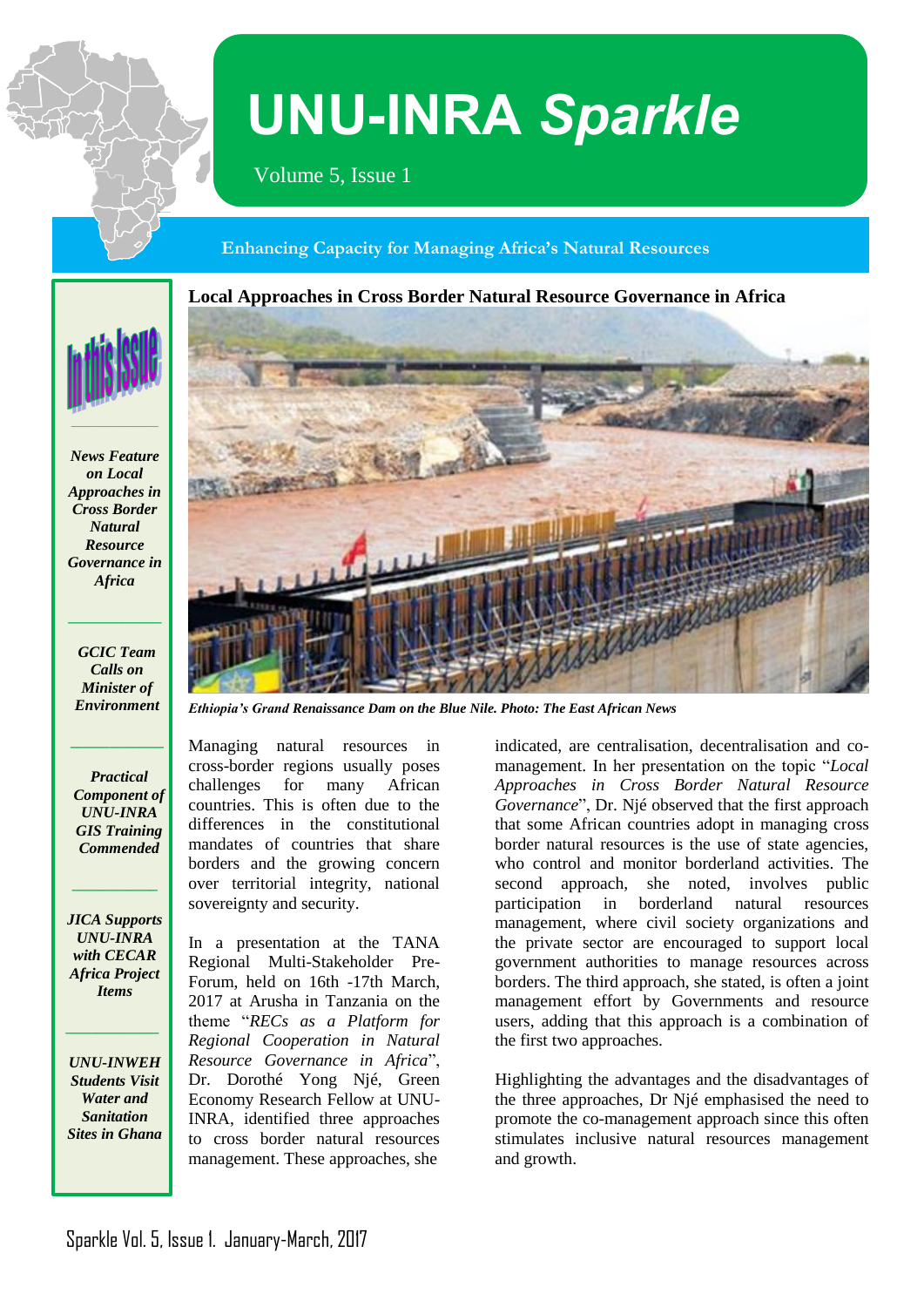

# **UNU-INRA** *Sparkle*

Volume 5, Issue 1

## **Enhancing Capacity for Managing Africa's Natural Resources**

**Local Approaches in Cross Border Natural Resource Governance in Africa**



*News Feature on Local Approaches in Cross Border Natural Resource Governance in Africa*

*GCIC Team Calls on Minister of Environment*

**\_\_\_\_\_\_\_\_\_\_\_\_**

**\_\_\_\_\_\_\_\_\_\_\_\_**

*Practical Component of UNU-INRA GIS Training Commended*

*JICA Supports UNU-INRA with CECAR Africa Project Items*

**\_\_\_\_\_\_\_\_\_\_\_**

*UNU-INWEH Students Visit Water and Sanitation Sites in Ghana*

*\_\_\_\_\_\_\_\_\_\_\_\_*



*Ethiopia's Grand Renaissance Dam on the Blue Nile. Photo: The East African News*

Managing natural resources in cross-border regions usually poses challenges for many African countries. This is often due to the differences in the constitutional mandates of countries that share borders and the growing concern over territorial integrity, national sovereignty and security.

In a presentation at the TANA Regional Multi-Stakeholder Pre-Forum, held on 16th -17th March, 2017 at Arusha in Tanzania on the theme "*RECs as a Platform for Regional Cooperation in Natural Resource Governance in Africa*", Dr. Dorothé Yong Njé, Green Economy Research Fellow at UNU-INRA, identified three approaches to cross border natural resources management. These approaches, she

indicated, are centralisation, decentralisation and comanagement. In her presentation on the topic "*Local Approaches in Cross Border Natural Resource Governance*", Dr. Njé observed that the first approach that some African countries adopt in managing cross border natural resources is the use of state agencies, who control and monitor borderland activities. The second approach, she noted, involves public participation in borderland natural resources management, where civil society organizations and the private sector are encouraged to support local government authorities to manage resources across borders. The third approach, she stated, is often a joint management effort by Governments and resource users, adding that this approach is a combination of the first two approaches.

Highlighting the advantages and the disadvantages of the three approaches, Dr Njé emphasised the need to promote the co-management approach since this often stimulates inclusive natural resources management and growth.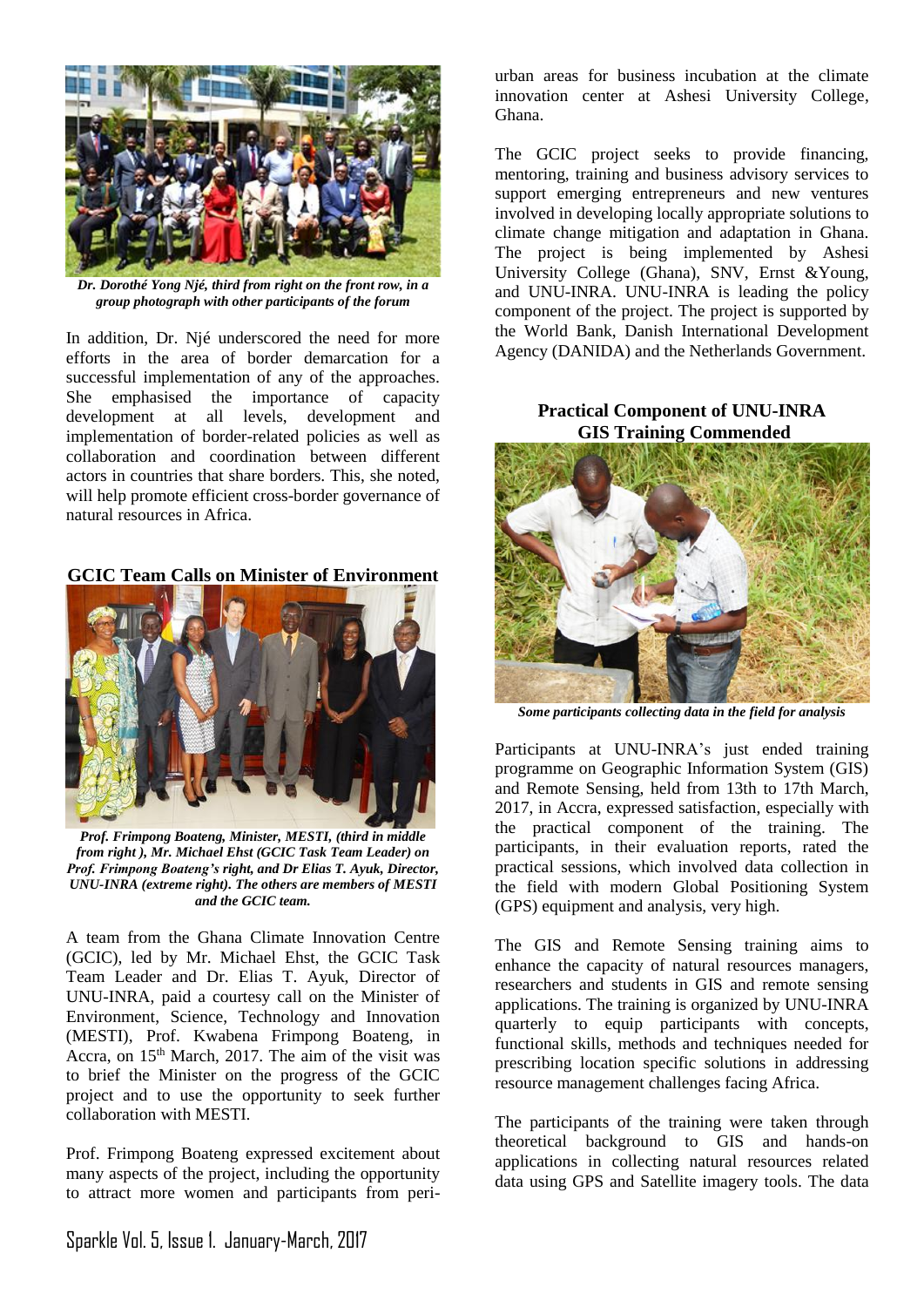![](_page_1_Picture_0.jpeg)

*Dr. Dorothé Yong Njé, third from right on the front row, in a group photograph with other participants of the forum*

In addition, Dr. Njé underscored the need for more efforts in the area of border demarcation for a successful implementation of any of the approaches. She emphasised the importance of capacity development at all levels, development and implementation of border-related policies as well as collaboration and coordination between different actors in countries that share borders. This, she noted, will help promote efficient cross-border governance of natural resources in Africa.

**GCIC Team Calls on Minister of Environment**

![](_page_1_Picture_4.jpeg)

*Prof. Frimpong Boateng, Minister, MESTI, (third in middle from right ), Mr. Michael Ehst (GCIC Task Team Leader) on Prof. Frimpong Boateng's right, and Dr Elias T. Ayuk, Director, UNU-INRA (extreme right). The others are members of MESTI and the GCIC team.* 

A team from the Ghana Climate Innovation Centre (GCIC), led by Mr. Michael Ehst, the GCIC Task Team Leader and Dr. Elias T. Ayuk, Director of UNU-INRA, paid a courtesy call on the Minister of Environment, Science, Technology and Innovation (MESTI), Prof. Kwabena Frimpong Boateng, in Accra, on  $15<sup>th</sup>$  March, 2017. The aim of the visit was to brief the Minister on the progress of the GCIC project and to use the opportunity to seek further collaboration with MESTI.

Prof. Frimpong Boateng expressed excitement about many aspects of the project, including the opportunity to attract more women and participants from periurban areas for business incubation at the climate innovation center at Ashesi University College, Ghana.

The GCIC project seeks to provide financing, mentoring, training and business advisory services to support emerging entrepreneurs and new ventures involved in developing locally appropriate solutions to climate change mitigation and adaptation in Ghana. The project is being implemented by Ashesi University College (Ghana), SNV, Ernst &Young, and UNU-INRA. UNU-INRA is leading the policy component of the project. The project is supported by the World Bank, Danish International Development Agency (DANIDA) and the Netherlands Government.

## **Practical Component of UNU-INRA GIS Training Commended**

![](_page_1_Picture_11.jpeg)

*Some participants collecting data in the field for analysis*

Participants at UNU-INRA's just ended training programme on Geographic Information System (GIS) and Remote Sensing, held from 13th to 17th March, 2017, in Accra, expressed satisfaction, especially with the practical component of the training. The participants, in their evaluation reports, rated the practical sessions, which involved data collection in the field with modern Global Positioning System (GPS) equipment and analysis, very high.

The GIS and Remote Sensing training aims to enhance the capacity of natural resources managers, researchers and students in GIS and remote sensing applications. The training is organized by UNU-INRA quarterly to equip participants with concepts, functional skills, methods and techniques needed for prescribing location specific solutions in addressing resource management challenges facing Africa.

The participants of the training were taken through theoretical background to GIS and hands-on applications in collecting natural resources related data using GPS and Satellite imagery tools. The data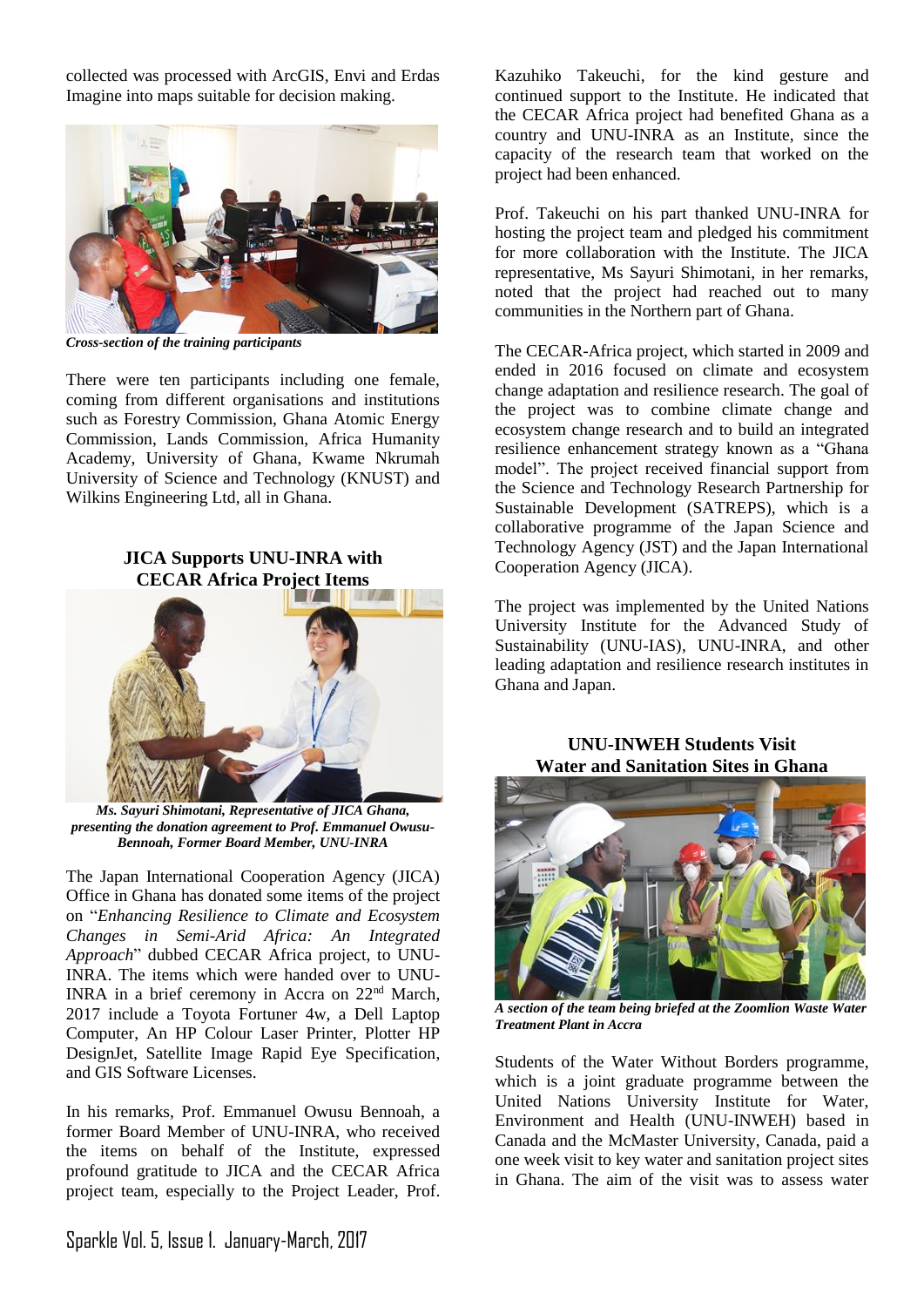collected was processed with ArcGIS, Envi and Erdas Imagine into maps suitable for decision making.

![](_page_2_Picture_1.jpeg)

*Cross-section of the training participants*

There were ten participants including one female, coming from different organisations and institutions such as Forestry Commission, Ghana Atomic Energy Commission, Lands Commission, Africa Humanity Academy, University of Ghana, Kwame Nkrumah University of Science and Technology (KNUST) and Wilkins Engineering Ltd, all in Ghana.

**JICA Supports UNU-INRA with CECAR Africa Project Items**

![](_page_2_Picture_5.jpeg)

*Ms. Sayuri Shimotani, Representative of JICA Ghana, presenting the donation agreement to Prof. Emmanuel Owusu-Bennoah, Former Board Member, UNU-INRA*

The Japan International Cooperation Agency (JICA) Office in Ghana has donated some items of the project on "*Enhancing Resilience to Climate and Ecosystem Changes in Semi-Arid Africa: An Integrated Approach*" dubbed CECAR Africa project, to UNU-INRA. The items which were handed over to UNU-INRA in a brief ceremony in Accra on 22nd March, 2017 include a Toyota Fortuner 4w, a Dell Laptop Computer, An HP Colour Laser Printer, Plotter HP DesignJet, Satellite Image Rapid Eye Specification, and GIS Software Licenses.

In his remarks, Prof. Emmanuel Owusu Bennoah, a former Board Member of UNU-INRA, who received the items on behalf of the Institute, expressed profound gratitude to JICA and the CECAR Africa project team, especially to the Project Leader, Prof. Kazuhiko Takeuchi, for the kind gesture and continued support to the Institute. He indicated that the CECAR Africa project had benefited Ghana as a country and UNU-INRA as an Institute, since the capacity of the research team that worked on the project had been enhanced.

Prof. Takeuchi on his part thanked UNU-INRA for hosting the project team and pledged his commitment for more collaboration with the Institute. The JICA representative, Ms Sayuri Shimotani, in her remarks, noted that the project had reached out to many communities in the Northern part of Ghana.

The CECAR-Africa project, which started in 2009 and ended in 2016 focused on climate and ecosystem change adaptation and resilience research. The goal of the project was to combine climate change and ecosystem change research and to build an integrated resilience enhancement strategy known as a "Ghana model". The project received financial support from the Science and Technology Research Partnership for Sustainable Development (SATREPS), which is a collaborative programme of the Japan Science and Technology Agency (JST) and the Japan International Cooperation Agency (JICA).

The project was implemented by the United Nations University Institute for the Advanced Study of Sustainability (UNU-IAS), UNU-INRA, and other leading adaptation and resilience research institutes in Ghana and Japan.

#### **UNU-INWEH Students Visit Water and Sanitation Sites in Ghana**

![](_page_2_Picture_14.jpeg)

*A section of the team being briefed at the Zoomlion Waste Water Treatment Plant in Accra*

Students of the Water Without Borders programme, which is a joint graduate programme between the United Nations University Institute for Water, Environment and Health (UNU-INWEH) based in Canada and the McMaster University, Canada, paid a one week visit to key water and sanitation project sites in Ghana. The aim of the visit was to assess water